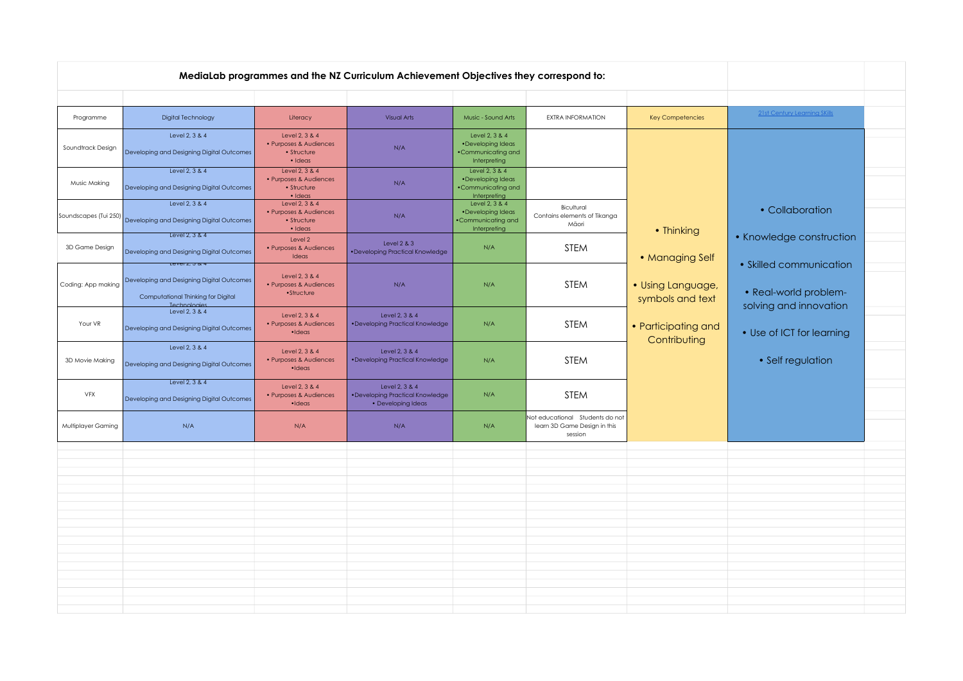| Programme             | Digital Technology                                                                                               | Literacy                                                                 | Visual Arts                                                             | Music - Sound Arts                                                        | <b>EXTRA INFORMATION</b>                                                   | <b>Key Competencies</b>               | <b>21st Century Learning SKills</b>                 |  |
|-----------------------|------------------------------------------------------------------------------------------------------------------|--------------------------------------------------------------------------|-------------------------------------------------------------------------|---------------------------------------------------------------------------|----------------------------------------------------------------------------|---------------------------------------|-----------------------------------------------------|--|
| Soundtrack Design     | Level 2, 3 & 4<br>Developing and Designing Digital Outcomes                                                      | Level 2, 3 & 4<br>• Purposes & Audiences<br>• Structure<br>$\cdot$ Ideas | N/A                                                                     | Level 2, 3 & 4<br>•Developing Ideas<br>•Communicating and<br>Interpreting |                                                                            |                                       |                                                     |  |
| Music Making          | Level 2, 3 & 4<br>Developing and Designing Digital Outcomes                                                      | Level 2, 3 & 4<br>• Purposes & Audiences<br>• Structure<br>$\cdot$ Ideas | N/A                                                                     | Level 2, 3 & 4<br>•Developing Ideas<br>•Communicating and<br>Interpreting |                                                                            |                                       |                                                     |  |
| Soundscapes (Tui 250) | Level 2, 3 & 4<br>Developing and Designing Digital Outcomes                                                      | Level 2, 3 & 4<br>• Purposes & Audiences<br>• Structure<br>· Ideas       | N/A                                                                     | Level 2, 3 & 4<br>•Developing Ideas<br>•Communicating and<br>Interpreting | Bicultural<br>Contains elements of Tikanga<br>Māori                        | • Thinking                            | • Collaboration                                     |  |
| 3D Game Design        | Level 2, 3 & 4<br>Developing and Designing Digital Outcomes                                                      | Level 2<br>• Purposes & Audiences<br>Ideas                               | Level $2 & 3$<br>·Developing Practical Knowledge                        | N/A                                                                       | <b>STEM</b>                                                                | • Managing Self                       | • Knowledge construction                            |  |
| Coding: App making    | Lever z, 3 & 4<br>Developing and Designing Digital Outcomes<br>Computational Thinking for Digital<br>Technologie | Level 2, 3 & 4<br>• Purposes & Audiences<br>•Structure                   | N/A                                                                     | N/A                                                                       | <b>STEM</b>                                                                | · Using Language,<br>symbols and text | • Skilled communication<br>• Real-world problem-    |  |
| Your VR               | Level 2, 3 & 4<br>Developing and Designing Digital Outcomes                                                      | Level 2, 3 & 4<br>• Purposes & Audiences<br>$\cdot$ Ideas                | Level 2, 3 & 4<br>. Developing Practical Knowledge                      | N/A                                                                       | <b>STEM</b>                                                                | • Participating and<br>Contributing   | solving and innovation<br>• Use of ICT for learning |  |
| 3D Movie Making       | Level 2, 3 & 4<br>Developing and Designing Digital Outcomes                                                      | Level 2, 3 & 4<br>• Purposes & Audiences<br>$\cdot$ Ideas                | Level 2, 3 & 4<br>·Developing Practical Knowledge                       | N/A                                                                       | <b>STEM</b>                                                                |                                       | • Self regulation                                   |  |
| VFX                   | Level 2, 3 & 4<br>Developing and Designing Digital Outcomes                                                      | Level 2, 3 & 4<br>• Purposes & Audiences<br>$\cdot$ Ideas                | Level 2, 3 & 4<br>·Developing Practical Knowledge<br>• Developing Ideas | N/A                                                                       | <b>STEM</b>                                                                |                                       |                                                     |  |
| Multiplayer Gaming    | N/A                                                                                                              | N/A                                                                      | N/A                                                                     | N/A                                                                       | Not educational Students do not<br>learn 3D Game Design in this<br>session |                                       |                                                     |  |
|                       |                                                                                                                  |                                                                          |                                                                         |                                                                           |                                                                            |                                       |                                                     |  |
|                       |                                                                                                                  |                                                                          |                                                                         |                                                                           |                                                                            |                                       |                                                     |  |
|                       |                                                                                                                  |                                                                          |                                                                         |                                                                           |                                                                            |                                       |                                                     |  |
|                       |                                                                                                                  |                                                                          |                                                                         |                                                                           |                                                                            |                                       |                                                     |  |
|                       |                                                                                                                  |                                                                          |                                                                         |                                                                           |                                                                            |                                       |                                                     |  |
|                       |                                                                                                                  |                                                                          |                                                                         |                                                                           |                                                                            |                                       |                                                     |  |
|                       |                                                                                                                  |                                                                          |                                                                         |                                                                           |                                                                            |                                       |                                                     |  |
|                       |                                                                                                                  |                                                                          |                                                                         |                                                                           |                                                                            |                                       |                                                     |  |
|                       |                                                                                                                  |                                                                          |                                                                         |                                                                           |                                                                            |                                       |                                                     |  |
|                       |                                                                                                                  |                                                                          |                                                                         |                                                                           |                                                                            |                                       |                                                     |  |
|                       |                                                                                                                  |                                                                          |                                                                         |                                                                           |                                                                            |                                       |                                                     |  |